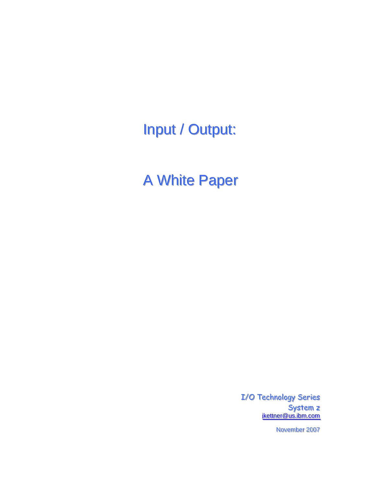Input / Output:

A White Paper

I/O Technology Series System z ikettner@us.ibm.com

November 2007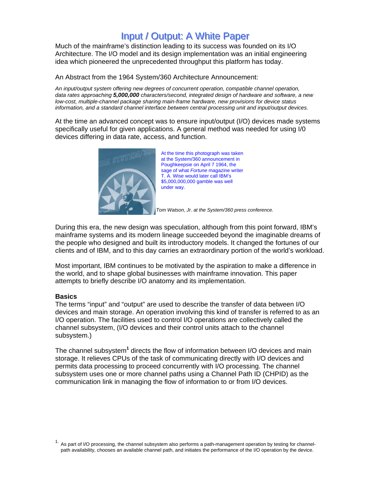# Input / Output: A White Paper

Much of the mainframe's distinction leading to its success was founded on its I/O Architecture. The I/O model and its design implementation was an initial engineering idea which pioneered the unprecedented throughput this platform has today.

An Abstract from the 1964 System/360 Architecture Announcement:

*An input/output system offering new degrees of concurrent operation, compatible channel operation, data rates approaching 5,000,000 characters/second, integrated design of hardware and software, a new low-cost, multiple-channel package sharing main-frame hardware, new provisions for device status information, and a standard channel interface between central processing unit and input/output devices.* 

At the time an advanced concept was to ensure input/output (I/O) devices made systems specifically useful for given applications. A general method was needed for using I/0 devices differing in data rate, access, and function.



At the time this photograph was taken at the System/360 announcement in Poughkeepsie on April 7 1964, the sage of what *Fortune* magazine writer T. A. Wise would later call IBM's \$5,000,000,000 gamble was well under way.

*Tom Watson, Jr. at the System/360 press conference.* 

During this era, the new design was speculation, although from this point forward, IBM's mainframe systems and its modern lineage succeeded beyond the imaginable dreams of the people who designed and built its introductory models. It changed the fortunes of our clients and of IBM, and to this day carries an extraordinary portion of the world's workload.

Most important, IBM continues to be motivated by the aspiration to make a difference in the world, and to shape global businesses with mainframe innovation. This paper attempts to briefly describe I/O anatomy and its implementation.

#### **Basics**

The terms "input" and "output" are used to describe the transfer of data between I/O devices and main storage. An operation involving this kind of transfer is referred to as an I/O operation. The facilities used to control I/O operations are collectively called the channel subsystem, (I/O devices and their control units attach to the channel subsystem.)

The channel subsystem<sup>1</sup> directs the flow of information between I/O devices and main storage. It relieves CPUs of the task of communicating directly with I/O devices and permits data processing to proceed concurrently with I/O processing. The channel subsystem uses one or more channel paths using a Channel Path ID (CHPID) as the communication link in managing the flow of information to or from I/O devices.

<sup>1.</sup> As part of I/O processing, the channel subsystem also performs a path-management operation by testing for channelpath availability, chooses an available channel path, and initiates the performance of the I/O operation by the device.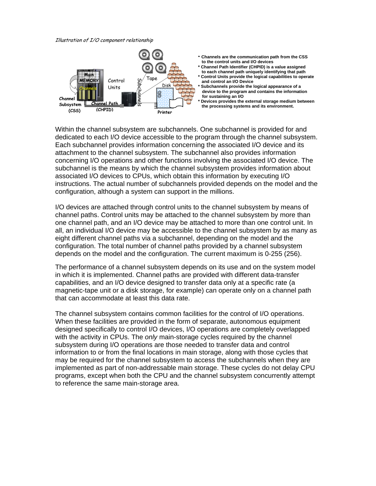#### Illustration of I/O component relationship



Within the channel subsystem are subchannels. One subchannel is provided for and dedicated to each I/O device accessible to the program through the channel subsystem. Each subchannel provides information concerning the associated I/O device and its attachment to the channel subsystem. The subchannel also provides information concerning I/O operations and other functions involving the associated I/O device. The subchannel is the means by which the channel subsystem provides information about associated I/O devices to CPUs, which obtain this information by executing I/O instructions. The actual number of subchannels provided depends on the model and the configuration, although a system can support in the millions.

I/O devices are attached through control units to the channel subsystem by means of channel paths. Control units may be attached to the channel subsystem by more than one channel path, and an I/O device may be attached to more than one control unit. In all, an individual I/O device may be accessible to the channel subsystem by as many as eight different channel paths via a subchannel, depending on the model and the configuration. The total number of channel paths provided by a channel subsystem depends on the model and the configuration. The current maximum is 0-255 (256).

The performance of a channel subsystem depends on its use and on the system model in which it is implemented. Channel paths are provided with different data-transfer capabilities, and an I/O device designed to transfer data only at a specific rate (a magnetic-tape unit or a disk storage, for example) can operate only on a channel path that can accommodate at least this data rate.

The channel subsystem contains common facilities for the control of I/O operations. When these facilities are provided in the form of separate, autonomous equipment designed specifically to control I/O devices, I/O operations are completely overlapped with the activity in CPUs. The *only* main-storage cycles required by the channel subsystem during I/O operations are those needed to transfer data and control information to or from the final locations in main storage, along with those cycles that may be required for the channel subsystem to access the subchannels when they are implemented as part of non-addressable main storage. These cycles do not delay CPU programs, except when both the CPU and the channel subsystem concurrently attempt to reference the same main-storage area.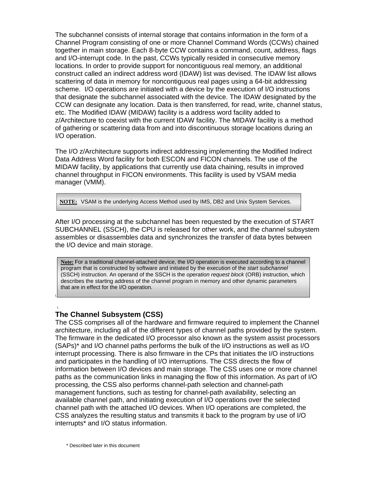The subchannel consists of internal storage that contains information in the form of a Channel Program consisting of one or more Channel Command Words (CCWs) chained together in main storage. Each 8-byte CCW contains a command, count, address, flags and I/O-interrupt code. In the past, CCWs typically resided in consecutive memory locations. In order to provide support for noncontiguous real memory, an additional construct called an indirect address word (IDAW) list was devised. The IDAW list allows scattering of data in memory for noncontiguous real pages using a 64-bit addressing scheme. I/O operations are initiated with a device by the execution of I/O instructions that designate the subchannel associated with the device. The IDAW designated by the CCW can designate any location. Data is then transferred, for read, write, channel status, etc. The Modified IDAW (MIDAW) facility is a address word facility added to z/Architecture to coexist with the current IDAW facility. The MIDAW facility is a method of gathering or scattering data from and into discontinuous storage locations during an I/O operation.

The I/O z/Architecture supports indirect addressing implementing the Modified Indirect Data Address Word facility for both ESCON and FICON channels. The use of the MIDAW facility, by applications that currently use data chaining, results in improved channel throughput in FICON environments. This facility is used by VSAM media manager (VMM).

**NOTE:** VSAM is the underlying Access Method used by IMS, DB2 and Unix System Services.

After I/O processing at the subchannel has been requested by the execution of START SUBCHANNEL (SSCH), the CPU is released for other work, and the channel subsystem assembles or disassembles data and synchronizes the transfer of data bytes between the I/O device and main storage.

**Note:** For a traditional channel-attached device, the I/O operation is executed according to a channel program that is constructed by software and initiated by the execution of the *start subchannel*  (SSCH) instruction. An operand of the SSCH is the *operation request block* (ORB) instruction, which describes the starting address of the channel program in memory and other dynamic parameters that are in effect for the I/O operation.

#### \ **The Channel Subsystem (CSS)**

\

The CSS comprises all of the hardware and firmware required to implement the Channel architecture, including all of the different types of channel paths provided by the system. The firmware in the dedicated I/O processor also known as the system assist processors (SAPs)\* and I/O channel paths performs the bulk of the I/O instructions as well as I/O interrupt processing. There is also firmware in the CPs that initiates the I/O instructions and participates in the handling of I/O interruptions. The CSS directs the flow of information between I/O devices and main storage. The CSS uses one or more channel paths as the communication links in managing the flow of this information. As part of I/O processing, the CSS also performs channel-path selection and channel-path management functions, such as testing for channel-path availability, selecting an available channel path, and initiating execution of I/O operations over the selected channel path with the attached I/O devices. When I/O operations are completed, the CSS analyzes the resulting status and transmits it back to the program by use of I/O interrupts\* and I/O status information.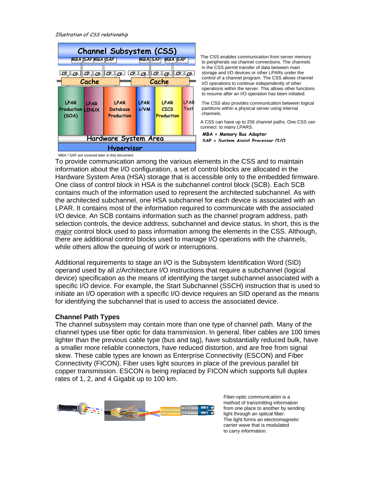Illustration of CSS relationship



The CSS enables communication from server memory to peripherals via channel connections. The channels in the CSS permit transfer of data between main storage and I/O devices or other LPARs under the control of a channel program. The CSS allows channel I/O operations to continue independently of other operations within the server. This allows other functions to resume after an I/O operation has been initiated.

 The CSS also provides communication between logical partitions within a physical server using internal channels.

A CSS can have up to 256 channel paths. One CSS can connect to many LPARS.

MBA / SAP are covered later in this document

To provide communication among the various elements in the CSS and to maintain information about the I/O configuration, a set of control blocks are allocated in the Hardware System Area (HSA) storage that is accessible only to the embedded firmware. One class of control block in HSA is the subchannel control block (SCB). Each SCB contains much of the information used to represent the architected subchannel. As with the architected subchannel, one HSA subchannel for each device is associated with an LPAR. It contains most of the information required to communicate with the associated I/O device. An SCB contains information such as the channel program address, path selection controls, the device address, subchannel and device status. In short, this is the *major* control block used to pass information among the elements in the CSS. Although, there are additional control blocks used to manage I/O operations with the channels, while others allow the queuing of work or interruptions.

Additional requirements to stage an I/O is the Subsystem Identification Word (SID) operand used by all z/Architecture I/O instructions that require a subchannel (logical device) specification as the means of identifying the target subchannel associated with a specific I/O device. For example, the Start Subchannel (SSCH) instruction that is used to initiate an I/O operation with a specific I/O device requires an SID operand as the means for identifying the subchannel that is used to access the associated device.

#### **Channel Path Types**

The channel subsystem may contain more than one type of channel path. Many of the channel types use fiber optic for data transmission. In general, fiber cables are 100 times lighter than the previous cable type (bus and tag), have substantially reduced bulk, have a smaller more reliable connectors, have reduced distortion, and are free from signal skew. These cable types are known as Enterprise Connectivity (ESCON) and Fiber Connectivity (FICON). Fiber uses light sources in place of the previous parallel bit copper transmission. ESCON is being replaced by FICON which supports full duplex rates of 1, 2, and 4 Gigabit up to 100 km.



Fiber-optic communication is a method of transmitting information from one place to another by sending light through an optical fiber. The light forms an electromagnetic carrier wave that is modulated to carry information.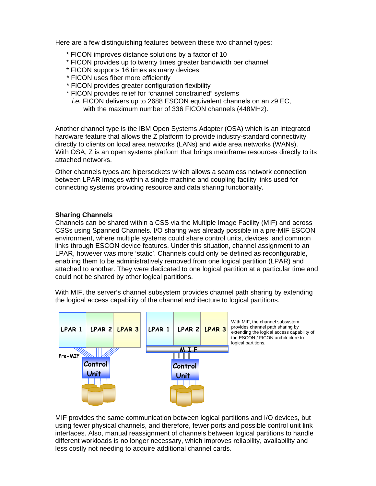Here are a few distinguishing features between these two channel types:

- \* FICON improves distance solutions by a factor of 10
- \* FICON provides up to twenty times greater bandwidth per channel
- \* FICON supports 16 times as many devices
- \* FICON uses fiber more efficiently
- \* FICON provides greater configuration flexibility
- \* FICON provides relief for "channel constrained" systems
	- *i.e.* FICON delivers up to 2688 ESCON equivalent channels on an z9 EC, with the maximum number of 336 FICON channels (448MHz).

Another channel type is the IBM Open Systems Adapter (OSA) which is an integrated hardware feature that allows the Z platform to provide industry-standard connectivity directly to clients on local area networks (LANs) and wide area networks (WANs). With OSA, Z is an open systems platform that brings mainframe resources directly to its attached networks.

Other channels types are hipersockets which allows a seamless network connection between LPAR images within a single machine and coupling facility links used for connecting systems providing resource and data sharing functionality.

#### **Sharing Channels**

Channels can be shared within a CSS via the Multiple Image Facility (MIF) and across CSSs using Spanned Channels. I/O sharing was already possible in a pre-MIF ESCON environment, where multiple systems could share control units, devices, and common links through ESCON device features. Under this situation, channel assignment to an LPAR, however was more 'static'. Channels could only be defined as reconfigurable, enabling them to be administratively removed from one logical partition (LPAR) and attached to another. They were dedicated to one logical partition at a particular time and could not be shared by other logical partitions.

With MIF, the server's channel subsystem provides channel path sharing by extending the logical access capability of the channel architecture to logical partitions.



MIF provides the same communication between logical partitions and I/O devices, but using fewer physical channels, and therefore, fewer ports and possible control unit link interfaces. Also, manual reassignment of channels between logical partitions to handle different workloads is no longer necessary, which improves reliability, availability and less costly not needing to acquire additional channel cards.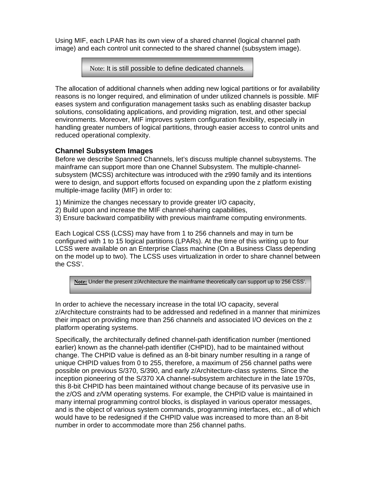Using MIF, each LPAR has its own view of a shared channel (logical channel path image) and each control unit connected to the shared channel (subsystem image).

Note: It is still possible to define dedicated channels.

The allocation of additional channels when adding new logical partitions or for availability reasons is no longer required, and elimination of under utilized channels is possible. MIF eases system and configuration management tasks such as enabling disaster backup solutions, consolidating applications, and providing migration, test, and other special environments. Moreover, MIF improves system configuration flexibility, especially in handling greater numbers of logical partitions, through easier access to control units and reduced operational complexity.

# **Channel Subsystem Images**

Before we describe Spanned Channels, let's discuss multiple channel subsystems. The mainframe can support more than one Channel Subsystem. The multiple-channelsubsystem (MCSS) architecture was introduced with the z990 family and its intentions were to design, and support efforts focused on expanding upon the z platform existing multiple-image facility (MIF) in order to:

- 1) Minimize the changes necessary to provide greater I/O capacity,
- 2) Build upon and increase the MIF channel-sharing capabilities,
- 3) Ensure backward compatibility with previous mainframe computing environments.

Each Logical CSS (LCSS) may have from 1 to 256 channels and may in turn be configured with 1 to 15 logical partitions (LPARs). At the time of this writing up to four LCSS were available on an Enterprise Class machine (On a Business Class depending on the model up to two). The LCSS uses virtualization in order to share channel between the CSS'.

**Note:** Under the present z/Architecture the mainframe theoretically can support up to 256 CSS'.

In order to achieve the necessary increase in the total I/O capacity, several z/Architecture constraints had to be addressed and redefined in a manner that minimizes their impact on providing more than 256 channels and associated I/O devices on the z platform operating systems.

Specifically, the architecturally defined channel-path identification number (mentioned earlier) known as the channel-path identifier (CHPID), had to be maintained without change. The CHPID value is defined as an 8-bit binary number resulting in a range of unique CHPID values from 0 to 255, therefore, a maximum of 256 channel paths were possible on previous S/370, S/390, and early z/Architecture-class systems. Since the inception pioneering of the S/370 XA channel-subsystem architecture in the late 1970s, this 8-bit CHPID has been maintained without change because of its pervasive use in the z/OS and z/VM operating systems. For example, the CHPID value is maintained in many internal programming control blocks, is displayed in various operator messages, and is the object of various system commands, programming interfaces, etc., all of which would have to be redesigned if the CHPID value was increased to more than an 8-bit number in order to accommodate more than 256 channel paths.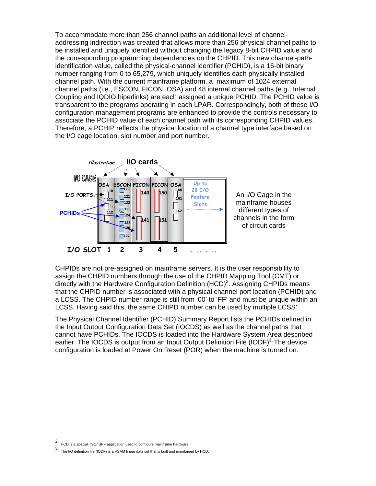To accommodate more than 256 channel paths an additional level of channeladdressing indirection was created that allows more than 256 physical channel paths to be installed and uniquely identified without changing the legacy 8-bit CHPID value and the corresponding programming dependencies on the CHPID. This new channel-pathidentification value, called the physical-channel identifier (PCHID), is a 16-bit binary number ranging from 0 to 65,279, which uniquely identifies each physically installed channel path. With the current mainframe platform, a maximum of 1024 external channel paths (i.e., ESCON, FICON, OSA) and 48 internal channel paths (e.g., Internal Coupling and IQDIO hiperlinks) are each assigned a unique PCHID. The PCHID value is transparent to the programs operating in each LPAR. Correspondingly, both of these I/O configuration management programs are enhanced to provide the controls necessary to associate the PCHID value of each channel path with its corresponding CHPID values. Therefore, a PCHIP reflects the physical location of a channel type interface based on the I/O cage location, slot number and port number.



![](_page_7_Figure_2.jpeg)

CHPIDs are not pre-assigned on mainframe servers. It is the user responsibility to assign the CHPID numbers through the use of the CHPID Mapping Tool (CMT) or directly with the Hardware Configuration Definition (HCD)<sup>2</sup>. Assigning CHPIDs means that the CHPID number is associated with a physical channel port location (PCHID) and a LCSS. The CHPID number range is still from '00' to 'FF' and must be unique within an LCSS. Having said this, the same CHIPD number can be used by multiple LCSS'.

The Physical Channel Identifier (PCHID) Summary Report lists the PCHIDs defined in the Input Output Configuration Data Set (IOCDS) as well as the channel paths that cannot have PCHIDs. The IOCDS is loaded into the Hardware System Area described earlier. The IOCDS is output from an Input Output Definition File (IODF)**3.** The device configuration is loaded at Power On Reset (POR) when the machine is turned on.

<sup>2.</sup> HCD is a special TSO/ISPF application used to configure mainframe hardware

<sup>3.</sup> The I/O definition file (IODF) is a VSAM linear data set that is built and maintained by HCD.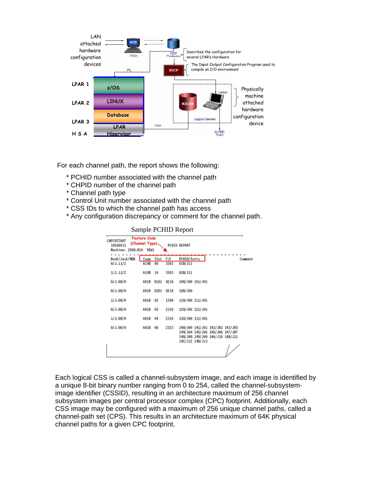![](_page_8_Figure_0.jpeg)

For each channel path, the report shows the following:

- \* PCHID number associated with the channel path
- \* CHPID number of the channel path
- \* Channel path type
- \* Control Unit number associated with the channel path
- \* CSS IDs to which the channel path has access
- \* Any configuration discrepancy or comment for the channel path.

#### Sample PCHID Report

| CHPIDSTART<br>10566931<br>Machine: 2084-B16 | <b>Feature Code</b><br>(Channel Type)<br>NEW1 |            |             | PCHID REPORT                                                                                                             |  |
|---------------------------------------------|-----------------------------------------------|------------|-------------|--------------------------------------------------------------------------------------------------------------------------|--|
| Book/Jack/MBA<br>0/J.11/2                   | Cage<br>A19B                                  | Slot<br>06 | F/C<br>3393 | PCHID/Ports<br>Comment<br>01B/J11                                                                                        |  |
| 1/J.11/2                                    | A19B                                          | 10         | 3393        | 02B/J11                                                                                                                  |  |
| 0/J.00/O                                    | A01B                                          | D101       | 0218        | 100/J00 101/J01                                                                                                          |  |
| 0/J.00/O                                    | A01B                                          | D201       | 0218        | 108/J00                                                                                                                  |  |
| 1/J.00/O                                    | A01B                                          | 02         | 1366        | 110/J00 111/J01                                                                                                          |  |
| 0/J.00/O                                    | A01B                                          | 03         | 2319        | 120/J00 121/J01                                                                                                          |  |
| 1/J.00/O                                    | A01B                                          | 04         | 2319        | 130/J00 131/J01                                                                                                          |  |
| 0/J.00/O                                    | A01B                                          | 06         | 2323        | 140/J00 141/J01 142/J02 143/J03<br>144/J04 145/J05 146/J06 147/J07<br>148/J08 149/J09 14A/J10 14B/J11<br>14C/J12 14D/J13 |  |

Each logical CSS is called a channel-subsystem image, and each image is identified by a unique 8-bit binary number ranging from 0 to 254, called the channel-subsystemimage identifier (CSSID), resulting in an architecture maximum of 256 channel subsystem images per central processor complex (CPC) footprint. Additionally, each CSS image may be configured with a maximum of 256 unique channel paths, called a channel-path set (CPS). This results in an architecture maximum of 64K physical channel paths for a given CPC footprint.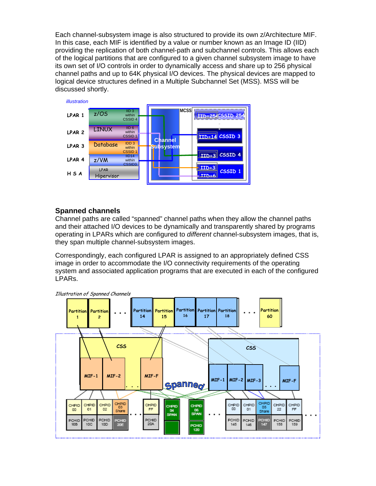Each channel-subsystem image is also structured to provide its own z/Architecture MIF. In this case, each MIF is identified by a value or number known as an Image ID (IID) providing the replication of both channel-path and subchannel controls. This allows each of the logical partitions that are configured to a given channel subsystem image to have its own set of I/O controls in order to dynamically access and share up to 256 physical channel paths and up to 64K physical I/O devices. The physical devices are mapped to logical device structures defined in a Multiple Subchannel Set (MSS). MSS will be discussed shortly.

![](_page_9_Figure_1.jpeg)

# **Spanned channels**

Channel paths are called "spanned" channel paths when they allow the channel paths and their attached I/O devices to be dynamically and transparently shared by programs operating in LPARs which are configured to *different* channel-subsystem images, that is, they span multiple channel-subsystem images.

Correspondingly, each configured LPAR is assigned to an appropriately defined CSS image in order to accommodate the I/O connectivity requirements of the operating system and associated application programs that are executed in each of the configured LPARs.

![](_page_9_Figure_5.jpeg)

Illustration of Spanned Channels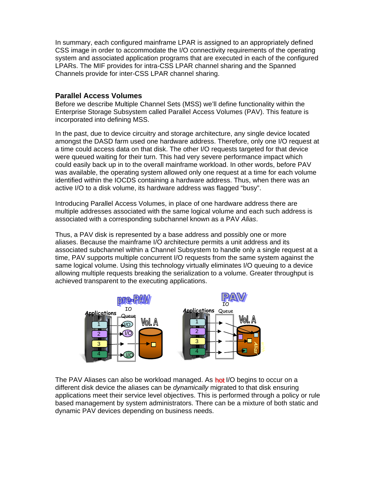In summary, each configured mainframe LPAR is assigned to an appropriately defined CSS image in order to accommodate the I/O connectivity requirements of the operating system and associated application programs that are executed in each of the configured LPARs. The MIF provides for intra-CSS LPAR channel sharing and the Spanned Channels provide for inter-CSS LPAR channel sharing.

### **Parallel Access Volumes**

Before we describe Multiple Channel Sets (MSS) we'll define functionality within the Enterprise Storage Subsystem called Parallel Access Volumes (PAV). This feature is incorporated into defining MSS.

In the past, due to device circuitry and storage architecture, any single device located amongst the DASD farm used one hardware address. Therefore, only one I/O request at a time could access data on that disk. The other I/O requests targeted for that device were queued waiting for their turn. This had very severe performance impact which could easily back up in to the overall mainframe workload. In other words, before PAV was available, the operating system allowed only one request at a time for each volume identified within the IOCDS containing a hardware address. Thus, when there was an active I/O to a disk volume, its hardware address was flagged "busy".

Introducing Parallel Access Volumes, in place of one hardware address there are multiple addresses associated with the same logical volume and each such address is associated with a corresponding subchannel known as a PAV *Alias*.

Thus, a PAV disk is represented by a base address and possibly one or more aliases. Because the mainframe I/O architecture permits a unit address and its associated subchannel within a Channel Subsystem to handle only a single request at a time, PAV supports multiple concurrent I/O requests from the same system against the same logical volume. Using this technology virtually eliminates I/O queuing to a device allowing multiple requests breaking the serialization to a volume. Greater throughput is achieved transparent to the executing applications.

![](_page_10_Figure_6.jpeg)

The PAV Aliases can also be workload managed. As hot I/O begins to occur on a different disk device the aliases can be *dynamically* migrated to that disk ensuring applications meet their service level objectives. This is performed through a policy or rule based management by system administrators. There can be a mixture of both static and dynamic PAV devices depending on business needs.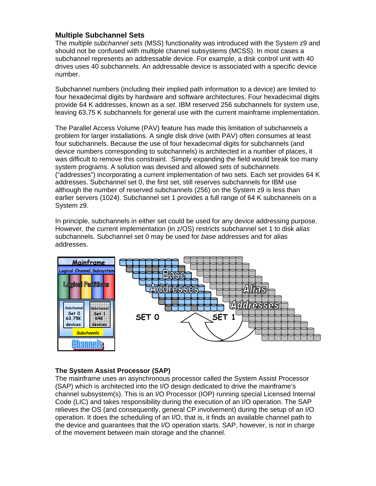# **Multiple Subchannel Sets**

The *multiple subchannel sets* (MSS) functionality was introduced with the System z9 and should not be confused with multiple channel subsystems (MCSS). In most cases a subchannel represents an addressable device. For example, a disk control unit with 40 drives uses 40 subchannels. An addressable device is associated with a specific device number.

Subchannel numbers (including their implied path information to a device) are limited to four hexadecimal digits by hardware and software architectures. Four hexadecimal digits provide 64 K addresses, known as a *set*. IBM reserved 256 subchannels for system use, leaving 63.75 K subchannels for general use with the current mainframe implementation.

The Parallel Access Volume (PAV) feature has made this limitation of subchannels a problem for larger installations. A single disk drive (with PAV) often consumes at least four subchannels. Because the use of four hexadecimal digits for subchannels (and device numbers corresponding to subchannels) is architected in a number of places, it was difficult to remove this constraint. Simply expanding the field would break too many system programs. A solution was devised and allowed *sets* of subchannels ("addresses") incorporating a current implementation of two sets. Each set provides 64 K addresses. Subchannel set 0, the first set, still reserves subchannels for IBM use although the number of reserved subchannels (256) on the System z9 is less than earlier servers (1024). Subchannel set 1 provides a full range of 64 K subchannels on a System z9.

In principle, subchannels in either set could be used for any device addressing purpose. However, the current implementation (in z/OS) restricts subchannel set 1 to disk *alias*  subchannels. Subchannel set 0 may be used for *base* addresses and for alias addresses.

![](_page_11_Figure_5.jpeg)

### **The System Assist Processor (SAP)**

The mainframe uses an asynchronous processor called the System Assist Processor (SAP) which is architected into the I/O design dedicated to drive the mainframe's channel subsystem(s). This is an I/O Processor (IOP) running special Licensed Internal Code (LIC) and takes responsibility during the execution of an I/O operation. The SAP relieves the OS (and consequently, general CP involvement) during the setup of an I/O operation. It does the scheduling of an I/O, that is, it finds an available channel path to the device and guarantees that the I/O operation starts. SAP, however, is not in charge of the movement between main storage and the channel.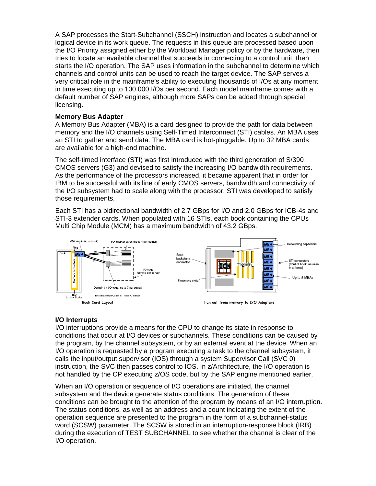A SAP processes the Start-Subchannel (SSCH) instruction and locates a subchannel or logical device in its work queue. The requests in this queue are processed based upon the I/O Priority assigned either by the Workload Manager policy or by the hardware, then tries to locate an available channel that succeeds in connecting to a control unit, then starts the I/O operation. The SAP uses information in the subchannel to determine which channels and control units can be used to reach the target device. The SAP serves a very critical role in the mainframe's ability to executing thousands of I/Os at any moment in time executing up to 100,000 I/Os per second. Each model mainframe comes with a default number of SAP engines, although more SAPs can be added through special licensing.

### **Memory Bus Adapter**

A Memory Bus Adapter (MBA) is a card designed to provide the path for data between memory and the I/O channels using Self-Timed Interconnect (STI) cables. An MBA uses an STI to gather and send data. The MBA card is hot-pluggable. Up to 32 MBA cards are available for a high-end machine.

The self-timed interface (STI) was first introduced with the third generation of S/390 CMOS servers (G3) and devised to satisfy the increasing I/O bandwidth requirements. As the performance of the processors increased, it became apparent that in order for IBM to be successful with its line of early CMOS servers, bandwidth and connectivity of the I/O subsystem had to scale along with the processor. STI was developed to satisfy those requirements.

Each STI has a bidirectional bandwidth of 2.7 GBps for I/O and 2.0 GBps for ICB-4s and STI-3 extender cards. When populated with 16 STIs, each book containing the CPUs Multi Chip Module (MCM) has a maximum bandwidth of 43.2 GBps.

![](_page_12_Figure_5.jpeg)

#### **I/O Interrupts**

I/O interruptions provide a means for the CPU to change its state in response to conditions that occur at I/O devices or subchannels. These conditions can be caused by the program, by the channel subsystem, or by an external event at the device. When an I/O operation is requested by a program executing a task to the channel subsystem, it calls the input/output supervisor (IOS) through a system Supervisor Call (SVC 0) instruction, the SVC then passes control to IOS. In z/Architecture, the I/O operation is not handled by the CP executing z/OS code, but by the SAP engine mentioned earlier.

When an I/O operation or sequence of I/O operations are initiated, the channel subsystem and the device generate status conditions. The generation of these conditions can be brought to the attention of the program by means of an I/O interruption. The status conditions, as well as an address and a count indicating the extent of the operation sequence are presented to the program in the form of a subchannel-status word (SCSW) parameter. The SCSW is stored in an interruption-response block (IRB) during the execution of TEST SUBCHANNEL to see whether the channel is clear of the I/O operation.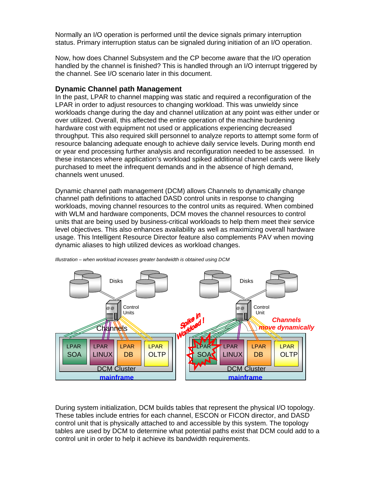Normally an I/O operation is performed until the device signals primary interruption status. Primary interruption status can be signaled during initiation of an I/O operation.

Now, how does Channel Subsystem and the CP become aware that the I/O operation handled by the channel is finished? This is handled through an I/O interrupt triggered by the channel. See I/O scenario later in this document.

### **Dynamic Channel path Management**

In the past, LPAR to channel mapping was static and required a reconfiguration of the LPAR in order to adjust resources to changing workload. This was unwieldy since workloads change during the day and channel utilization at any point was either under or over utilized. Overall, this affected the entire operation of the machine burdening hardware cost with equipment not used or applications experiencing decreased throughput. This also required skill personnel to analyze reports to attempt some form of resource balancing adequate enough to achieve daily service levels. During month end or year end processing further analysis and reconfiguration needed to be assessed. In these instances where application's workload spiked additional channel cards were likely purchased to meet the infrequent demands and in the absence of high demand, channels went unused.

Dynamic channel path management (DCM) allows Channels to dynamically change channel path definitions to attached DASD control units in response to changing workloads, moving channel resources to the control units as required. When combined with WLM and hardware components, DCM moves the channel resources to control units that are being used by business-critical workloads to help them meet their service level objectives. This also enhances availability as well as maximizing overall hardware usage. This Intelligent Resource Director feature also complements PAV when moving dynamic aliases to high utilized devices as workload changes.

![](_page_13_Figure_5.jpeg)

*Illustration – when workload increases greater bandwidth is obtained using DCM* 

During system initialization, DCM builds tables that represent the physical I/O topology. These tables include entries for each channel, ESCON or FICON director, and DASD control unit that is physically attached to and accessible by this system. The topology tables are used by DCM to determine what potential paths exist that DCM could add to a control unit in order to help it achieve its bandwidth requirements.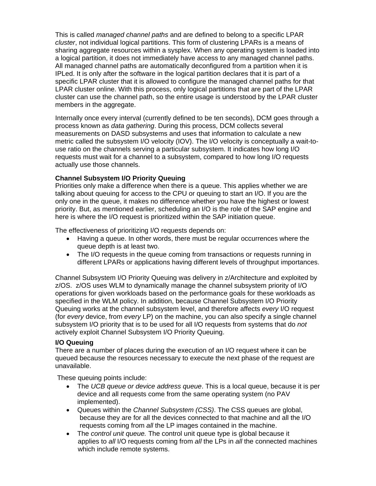This is called *managed channel paths* and are defined to belong to a specific LPAR *cluster*, not individual logical partitions. This form of clustering LPARs is a means of sharing aggregate resources within a sysplex. When any operating system is loaded into a logical partition, it does not immediately have access to any managed channel paths. All managed channel paths are automatically deconfigured from a partition when it is IPLed. It is only after the software in the logical partition declares that it is part of a specific LPAR cluster that it is allowed to configure the managed channel paths for that LPAR cluster online. With this process, only logical partitions that are part of the LPAR cluster can use the channel path, so the entire usage is understood by the LPAR cluster members in the aggregate.

Internally once every interval (currently defined to be ten seconds), DCM goes through a process known as *data gathering*. During this process, DCM collects several measurements on DASD subsystems and uses that information to calculate a new metric called the subsystem I/O velocity (IOV). The I/O velocity is conceptually a wait-touse ratio on the channels serving a particular subsystem. It indicates how long I/O requests must wait for a channel to a subsystem, compared to how long I/O requests actually use those channels.

# **Channel Subsystem I/O Priority Queuing**

Priorities only make a difference when there is a queue. This applies whether we are talking about queuing for access to the CPU or queuing to start an I/O. If you are the only one in the queue, it makes no difference whether you have the highest or lowest priority. But, as mentioned earlier, scheduling an I/O is the role of the SAP engine and here is where the I/O request is prioritized within the SAP initiation queue.

The effectiveness of prioritizing I/O requests depends on:

- Having a queue. In other words, there must be regular occurrences where the queue depth is at least two.
- The I/O requests in the queue coming from transactions or requests running in different LPARs or applications having different levels of throughput importances.

Channel Subsystem I/O Priority Queuing was delivery in z/Architecture and exploited by z/OS. z/OS uses WLM to dynamically manage the channel subsystem priority of I/O operations for given workloads based on the performance goals for these workloads as specified in the WLM policy. In addition, because Channel Subsystem I/O Priority Queuing works at the channel subsystem level, and therefore affects *every* I/O request (for *every* device, from *every* LP) on the machine, you can also specify a single channel subsystem I/O priority that is to be used for all I/O requests from systems that do *not*  actively exploit Channel Subsystem I/O Priority Queuing.

### **I/O Queuing**

There are a number of places during the execution of an I/O request where it can be queued because the resources necessary to execute the next phase of the request are unavailable.

These queuing points include:

- The *UCB queue or device address queue*. This is a local queue, because it is per device and all requests come from the same operating system (no PAV implemented).
- Queues within the *Channel Subsystem (CSS)*. The CSS queues are global, because they are for all the devices connected to that machine and all the I/O requests coming from *all* the LP images contained in the machine.
- The *control unit queue.* The control unit queue type is global because it applies to *all* I/O requests coming from *all* the LPs in *all* the connected machines which include remote systems.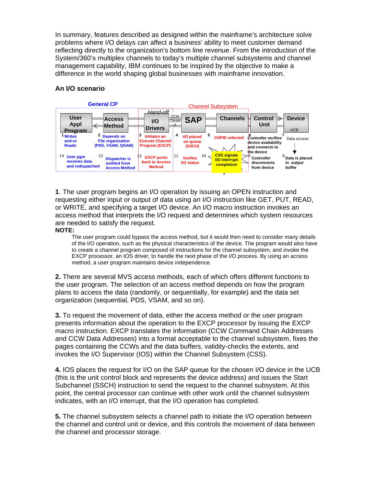In summary, features described as designed within the mainframe's architecture solve problems where I/O delays can affect a business' ability to meet customer demand reflecting directly to the organization's bottom line revenue. From the introduction of the System/360's multiplex channels to today's multiple channel subsystems and channel management capability, IBM continues to be inspired by the objective to make a difference in the world shaping global businesses with mainframe innovation.

# **An I/O scenario**

![](_page_15_Figure_2.jpeg)

**1**. The user program begins an I/O operation by issuing an OPEN instruction and requesting either input or output of data using an I/O instruction like GET, PUT, READ, or WRITE, and specifying a target I/O device. An I/O macro instruction invokes an access method that interprets the I/O request and determines which system resources are needed to satisfy the request.

**NOTE:** 

The user program could bypass the access method, but it would then need to consider many details of the I/O operation, such as the physical characteristics of the device. The program would also have to create a channel program composed of instructions for the channel subsystem, and invoke the EXCP processor, an IOS driver, to handle the next phase of the I/O process. By using an access method, a user program maintains device independence.

**2.** There are several MVS access methods, each of which offers different functions to the user program. The selection of an access method depends on how the program plans to access the data (randomly, or sequentially, for example) and the data set organization (sequential, PDS, VSAM, and so on).

**3.** To request the movement of data, either the access method or the user program presents information about the operation to the EXCP processor by issuing the EXCP macro instruction. EXCP translates the information (CCW Command Chain Addresses and CCW Data Addresses) into a format acceptable to the channel subsystem, fixes the pages containing the CCWs and the data buffers, validity-checks the extents, and invokes the I/O Supervisor (IOS) within the Channel Subsystem (CSS).

**4.** IOS places the request for I/O on the SAP queue for the chosen I/O device in the UCB (this is the unit control block and represents the device address) and issues the Start Subchannel (SSCH) instruction to send the request to the channel subsystem. At this point, the central processor can continue with other work until the channel subsystem indicates, with an I/O interrupt, that the I/O operation has completed.

**5.** The channel subsystem selects a channel path to initiate the I/O operation between the channel and control unit or device, and this controls the movement of data between the channel and processor storage.